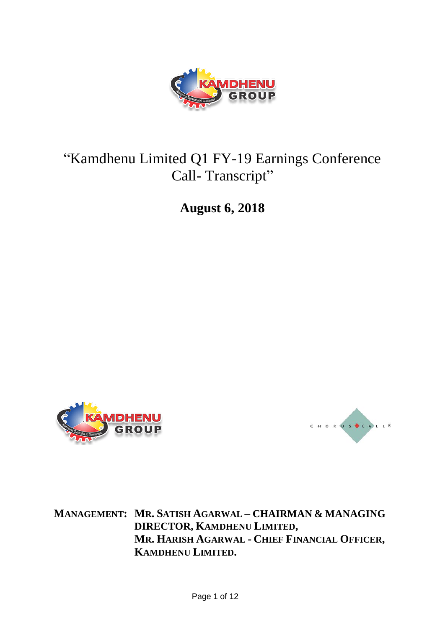

# "Kamdhenu Limited Q1 FY-19 Earnings Conference Call-Transcript"

**August 6, 2018**





**MANAGEMENT: MR. SATISH AGARWAL – CHAIRMAN & MANAGING DIRECTOR, KAMDHENU LIMITED, MR. HARISH AGARWAL - CHIEF FINANCIAL OFFICER, KAMDHENU LIMITED.**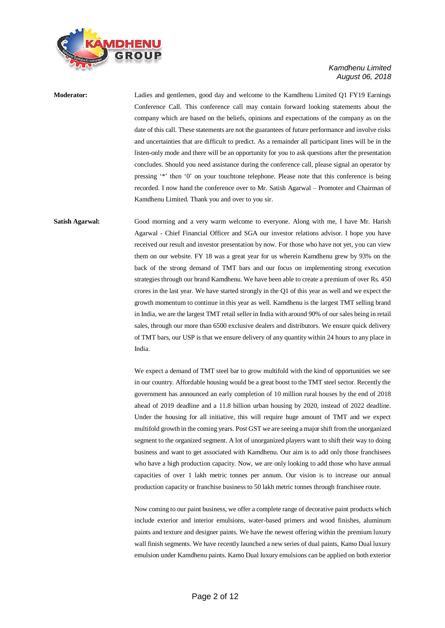

**Moderator:** Ladies and gentlemen, good day and welcome to the Kamdhenu Limited Q1 FY19 Earnings Conference Call. This conference call may contain forward looking statements about the company which are based on the beliefs, opinions and expectations of the company as on the date of this call. These statements are not the guarantees of future performance and involve risks and uncertainties that are difficult to predict. As a remainder all participant lines will be in the listen-only mode and there will be an opportunity for you to ask questions after the presentation concludes. Should you need assistance during the conference call, please signal an operator by pressing '\*' then '0' on your touchtone telephone. Please note that this conference is being recorded. I now hand the conference over to Mr. Satish Agarwal – Promoter and Chairman of Kamdhenu Limited. Thank you and over to you sir.

**Satish Agarwal:** Good morning and a very warm welcome to everyone. Along with me, I have Mr. Harish Agarwal - Chief Financial Officer and SGA our investor relations advisor. I hope you have received our result and investor presentation by now. For those who have not yet, you can view them on our website. FY 18 was a great year for us wherein Kamdhenu grew by 93% on the back of the strong demand of TMT bars and our focus on implementing strong execution strategies through our brand Kamdhenu. We have been able to create a premium of over Rs. 450 crores in the last year. We have started strongly in the Q1 of this year as well and we expect the growth momentum to continue in this year as well. Kamdhenu is the largest TMT selling brand in India, we are the largest TMT retail seller in India with around 90% of our sales being in retail sales, through our more than 6500 exclusive dealers and distributors. We ensure quick delivery of TMT bars, our USP is that we ensure delivery of any quantity within 24 hours to any place in India.

> We expect a demand of TMT steel bar to grow multifold with the kind of opportunities we see in our country. Affordable housing would be a great boost to the TMT steel sector. Recently the government has announced an early completion of 10 million rural houses by the end of 2018 ahead of 2019 deadline and a 11.8 billion urban housing by 2020, instead of 2022 deadline. Under the housing for all initiative, this will require huge amount of TMT and we expect multifold growth in the coming years. Post GST we are seeing a major shift from the unorganized segment to the organized segment. A lot of unorganized players want to shift their way to doing business and want to get associated with Kamdhenu. Our aim is to add only those franchisees who have a high production capacity. Now, we are only looking to add those who have annual capacities of over 1 lakh metric tonnes per annum. Our vision is to increase our annual production capacity or franchise business to 50 lakh metric tonnes through franchisee route.

> Now coming to our paint business, we offer a complete range of decorative paint products which include exterior and interior emulsions, water-based primers and wood finishes, aluminum paints and texture and designer paints. We have the newest offering within the premium luxury wall finish segments. We have recently launched a new series of dual paints, Kamo Dual luxury emulsion under Kamdhenu paints. Kamo Dual luxury emulsions can be applied on both exterior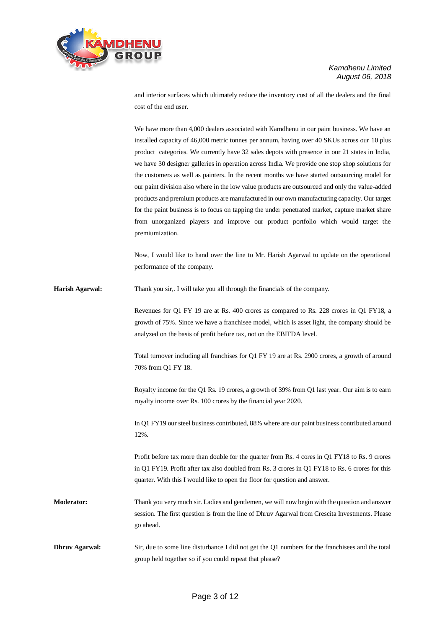

and interior surfaces which ultimately reduce the inventory cost of all the dealers and the final cost of the end user.

We have more than 4,000 dealers associated with Kamdhenu in our paint business. We have an installed capacity of 46,000 metric tonnes per annum, having over 40 SKUs across our 10 plus product categories. We currently have 32 sales depots with presence in our 21 states in India, we have 30 designer galleries in operation across India. We provide one stop shop solutions for the customers as well as painters. In the recent months we have started outsourcing model for our paint division also where in the low value products are outsourced and only the value-added products and premium products are manufactured in our own manufacturing capacity. Our target for the paint business is to focus on tapping the under penetrated market, capture market share from unorganized players and improve our product portfolio which would target the premiumization.

Now, I would like to hand over the line to Mr. Harish Agarwal to update on the operational performance of the company.

**Harish Agarwal:** Thank you sir,. I will take you all through the financials of the company.

Revenues for Q1 FY 19 are at Rs. 400 crores as compared to Rs. 228 crores in Q1 FY18, a growth of 75%. Since we have a franchisee model, which is asset light, the company should be analyzed on the basis of profit before tax, not on the EBITDA level.

Total turnover including all franchises for Q1 FY 19 are at Rs. 2900 crores, a growth of around 70% from Q1 FY 18.

Royalty income for the Q1 Rs. 19 crores, a growth of 39% from Q1 last year. Our aim is to earn royalty income over Rs. 100 crores by the financial year 2020.

In Q1 FY19 our steel business contributed, 88% where are our paint business contributed around 12%.

Profit before tax more than double for the quarter from Rs. 4 cores in Q1 FY18 to Rs. 9 crores in Q1 FY19. Profit after tax also doubled from Rs. 3 crores in Q1 FY18 to Rs. 6 crores for this quarter. With this I would like to open the floor for question and answer.

**Moderator:** Thank you very much sir. Ladies and gentlemen, we will now begin with the question and answer session. The first question is from the line of Dhruv Agarwal from Crescita Investments. Please go ahead.

**Dhruv Agarwal:** Sir, due to some line disturbance I did not get the Q1 numbers for the franchisees and the total group held together so if you could repeat that please?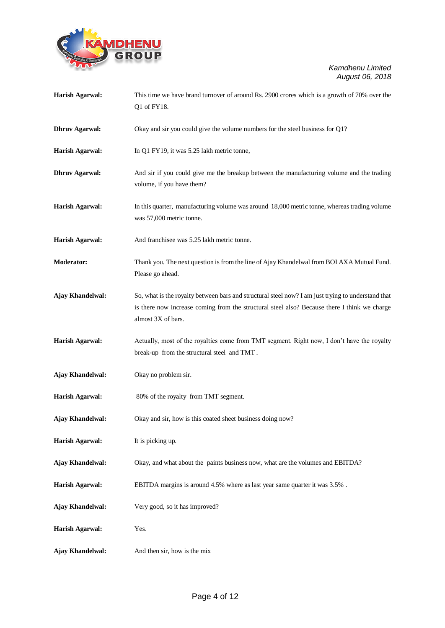

| Harish Agarwal:         | This time we have brand turnover of around Rs. 2900 crores which is a growth of 70% over the<br>Q1 of FY18.                                                                                                              |
|-------------------------|--------------------------------------------------------------------------------------------------------------------------------------------------------------------------------------------------------------------------|
| <b>Dhruv Agarwal:</b>   | Okay and sir you could give the volume numbers for the steel business for Q1?                                                                                                                                            |
| <b>Harish Agarwal:</b>  | In Q1 FY19, it was 5.25 lakh metric tonne,                                                                                                                                                                               |
| <b>Dhruv Agarwal:</b>   | And sir if you could give me the breakup between the manufacturing volume and the trading<br>volume, if you have them?                                                                                                   |
| <b>Harish Agarwal:</b>  | In this quarter, manufacturing volume was around 18,000 metric tonne, whereas trading volume<br>was 57,000 metric tonne.                                                                                                 |
| <b>Harish Agarwal:</b>  | And franchisee was 5.25 lakh metric tonne.                                                                                                                                                                               |
| Moderator:              | Thank you. The next question is from the line of Ajay Khandelwal from BOI AXA Mutual Fund.<br>Please go ahead.                                                                                                           |
| Ajay Khandelwal:        | So, what is the royalty between bars and structural steel now? I am just trying to understand that<br>is there now increase coming from the structural steel also? Because there I think we charge<br>almost 3X of bars. |
| <b>Harish Agarwal:</b>  | Actually, most of the royalties come from TMT segment. Right now, I don't have the royalty<br>break-up from the structural steel and TMT.                                                                                |
| Ajay Khandelwal:        | Okay no problem sir.                                                                                                                                                                                                     |
| <b>Harish Agarwal:</b>  | 80% of the royalty from TMT segment.                                                                                                                                                                                     |
| <b>Ajay Khandelwal:</b> | Okay and sir, how is this coated sheet business doing now?                                                                                                                                                               |
| <b>Harish Agarwal:</b>  | It is picking up.                                                                                                                                                                                                        |
| Ajay Khandelwal:        | Okay, and what about the paints business now, what are the volumes and EBITDA?                                                                                                                                           |
| <b>Harish Agarwal:</b>  | EBITDA margins is around 4.5% where as last year same quarter it was 3.5%.                                                                                                                                               |
| <b>Ajay Khandelwal:</b> | Very good, so it has improved?                                                                                                                                                                                           |
| <b>Harish Agarwal:</b>  | Yes.                                                                                                                                                                                                                     |
| Ajay Khandelwal:        | And then sir, how is the mix                                                                                                                                                                                             |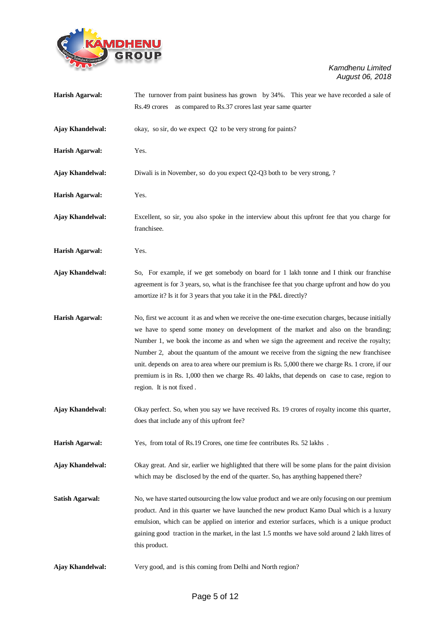

| <b>Harish Agarwal:</b> | The turnover from paint business has grown by 34%. This year we have recorded a sale of<br>Rs.49 crores as compared to Rs.37 crores last year same quarter                                                                                                                                                                                                                                                                                                                                                                                                                                                    |
|------------------------|---------------------------------------------------------------------------------------------------------------------------------------------------------------------------------------------------------------------------------------------------------------------------------------------------------------------------------------------------------------------------------------------------------------------------------------------------------------------------------------------------------------------------------------------------------------------------------------------------------------|
| Ajay Khandelwal:       | okay, so sir, do we expect Q2 to be very strong for paints?                                                                                                                                                                                                                                                                                                                                                                                                                                                                                                                                                   |
| <b>Harish Agarwal:</b> | Yes.                                                                                                                                                                                                                                                                                                                                                                                                                                                                                                                                                                                                          |
| Ajay Khandelwal:       | Diwali is in November, so do you expect Q2-Q3 both to be very strong, ?                                                                                                                                                                                                                                                                                                                                                                                                                                                                                                                                       |
| <b>Harish Agarwal:</b> | Yes.                                                                                                                                                                                                                                                                                                                                                                                                                                                                                                                                                                                                          |
| Ajay Khandelwal:       | Excellent, so sir, you also spoke in the interview about this upfront fee that you charge for<br>franchisee.                                                                                                                                                                                                                                                                                                                                                                                                                                                                                                  |
| <b>Harish Agarwal:</b> | Yes.                                                                                                                                                                                                                                                                                                                                                                                                                                                                                                                                                                                                          |
| Ajay Khandelwal:       | So, For example, if we get somebody on board for 1 lakh tonne and I think our franchise<br>agreement is for 3 years, so, what is the franchisee fee that you charge upfront and how do you<br>amortize it? Is it for 3 years that you take it in the P&L directly?                                                                                                                                                                                                                                                                                                                                            |
| <b>Harish Agarwal:</b> | No, first we account it as and when we receive the one-time execution charges, because initially<br>we have to spend some money on development of the market and also on the branding;<br>Number 1, we book the income as and when we sign the agreement and receive the royalty;<br>Number 2, about the quantum of the amount we receive from the signing the new franchisee<br>unit. depends on area to area where our premium is Rs. 5,000 there we charge Rs. 1 crore, if our<br>premium is in Rs. 1,000 then we charge Rs. 40 lakhs, that depends on case to case, region to<br>region. It is not fixed. |
| Ajay Khandelwal:       | Okay perfect. So, when you say we have received Rs. 19 crores of royalty income this quarter,<br>does that include any of this upfront fee?                                                                                                                                                                                                                                                                                                                                                                                                                                                                   |
| <b>Harish Agarwal:</b> | Yes, from total of Rs.19 Crores, one time fee contributes Rs. 52 lakhs.                                                                                                                                                                                                                                                                                                                                                                                                                                                                                                                                       |
| Ajay Khandelwal:       | Okay great. And sir, earlier we highlighted that there will be some plans for the paint division<br>which may be disclosed by the end of the quarter. So, has anything happened there?                                                                                                                                                                                                                                                                                                                                                                                                                        |
| <b>Satish Agarwal:</b> | No, we have started outsourcing the low value product and we are only focusing on our premium<br>product. And in this quarter we have launched the new product Kamo Dual which is a luxury<br>emulsion, which can be applied on interior and exterior surfaces, which is a unique product<br>gaining good traction in the market, in the last 1.5 months we have sold around 2 lakh litres of<br>this product.                                                                                                                                                                                                |
| Ajay Khandelwal:       | Very good, and is this coming from Delhi and North region?                                                                                                                                                                                                                                                                                                                                                                                                                                                                                                                                                    |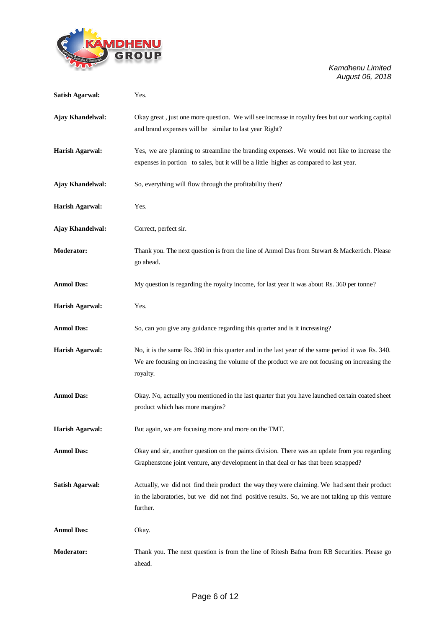

| <b>Satish Agarwal:</b> | Yes.                                                                                                                                                                                                            |
|------------------------|-----------------------------------------------------------------------------------------------------------------------------------------------------------------------------------------------------------------|
| Ajay Khandelwal:       | Okay great, just one more question. We will see increase in royalty fees but our working capital<br>and brand expenses will be similar to last year Right?                                                      |
| <b>Harish Agarwal:</b> | Yes, we are planning to streamline the branding expenses. We would not like to increase the<br>expenses in portion to sales, but it will be a little higher as compared to last year.                           |
| Ajay Khandelwal:       | So, everything will flow through the profitability then?                                                                                                                                                        |
| <b>Harish Agarwal:</b> | Yes.                                                                                                                                                                                                            |
| Ajay Khandelwal:       | Correct, perfect sir.                                                                                                                                                                                           |
| <b>Moderator:</b>      | Thank you. The next question is from the line of Anmol Das from Stewart & Mackertich. Please<br>go ahead.                                                                                                       |
| <b>Anmol Das:</b>      | My question is regarding the royalty income, for last year it was about Rs. 360 per tonne?                                                                                                                      |
| <b>Harish Agarwal:</b> | Yes.                                                                                                                                                                                                            |
| <b>Anmol Das:</b>      | So, can you give any guidance regarding this quarter and is it increasing?                                                                                                                                      |
| <b>Harish Agarwal:</b> | No, it is the same Rs. 360 in this quarter and in the last year of the same period it was Rs. 340.<br>We are focusing on increasing the volume of the product we are not focusing on increasing the<br>royalty. |
| <b>Anmol Das:</b>      | Okay. No, actually you mentioned in the last quarter that you have launched certain coated sheet<br>product which has more margins?                                                                             |
| <b>Harish Agarwal:</b> | But again, we are focusing more and more on the TMT.                                                                                                                                                            |
| <b>Anmol Das:</b>      | Okay and sir, another question on the paints division. There was an update from you regarding<br>Graphenstone joint venture, any development in that deal or has that been scrapped?                            |
| <b>Satish Agarwal:</b> | Actually, we did not find their product the way they were claiming. We had sent their product<br>in the laboratories, but we did not find positive results. So, we are not taking up this venture<br>further.   |
| <b>Anmol Das:</b>      | Okay.                                                                                                                                                                                                           |
| Moderator:             | Thank you. The next question is from the line of Ritesh Bafna from RB Securities. Please go<br>ahead.                                                                                                           |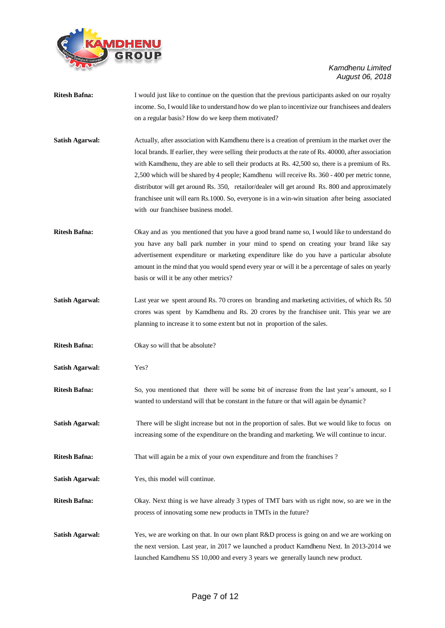

- **Ritesh Bafna:** I would just like to continue on the question that the previous participants asked on our royalty income. So, I would like to understand how do we plan to incentivize our franchisees and dealers on a regular basis? How do we keep them motivated?
- **Satish Agarwal:** Actually, after association with Kamdhenu there is a creation of premium in the market over the local brands. If earlier, they were selling their products at the rate of Rs. 40000, after association with Kamdhenu, they are able to sell their products at Rs. 42,500 so, there is a premium of Rs. 2,500 which will be shared by 4 people; Kamdhenu will receive Rs. 360 - 400 per metric tonne, distributor will get around Rs. 350, retailor/dealer will get around Rs. 800 and approximately franchisee unit will earn Rs.1000. So, everyone is in a win-win situation after being associated with our franchisee business model.
- **Ritesh Bafna:** Okay and as you mentioned that you have a good brand name so, I would like to understand do you have any ball park number in your mind to spend on creating your brand like say advertisement expenditure or marketing expenditure like do you have a particular absolute amount in the mind that you would spend every year or will it be a percentage of sales on yearly basis or will it be any other metrics?
- **Satish Agarwal:** Last year we spent around Rs. 70 crores on branding and marketing activities, of which Rs. 50 crores was spent by Kamdhenu and Rs. 20 crores by the franchisee unit. This year we are planning to increase it to some extent but not in proportion of the sales.
- **Ritesh Bafna:** Okay so will that be absolute?
- **Satish Agarwal:** Yes?
- **Ritesh Bafna:** So, you mentioned that there will be some bit of increase from the last year's amount, so I wanted to understand will that be constant in the future or that will again be dynamic?
- **Satish Agarwal:** There will be slight increase but not in the proportion of sales. But we would like to focus on increasing some of the expenditure on the branding and marketing. We will continue to incur.
- **Ritesh Bafna:** That will again be a mix of your own expenditure and from the franchises ?
- **Satish Agarwal:** Yes, this model will continue.
- **Ritesh Bafna:** Okay. Next thing is we have already 3 types of TMT bars with us right now, so are we in the process of innovating some new products in TMTs in the future?
- **Satish Agarwal:** Yes, we are working on that. In our own plant R&D process is going on and we are working on the next version. Last year, in 2017 we launched a product Kamdhenu Next. In 2013-2014 we launched Kamdhenu SS 10,000 and every 3 years we generally launch new product.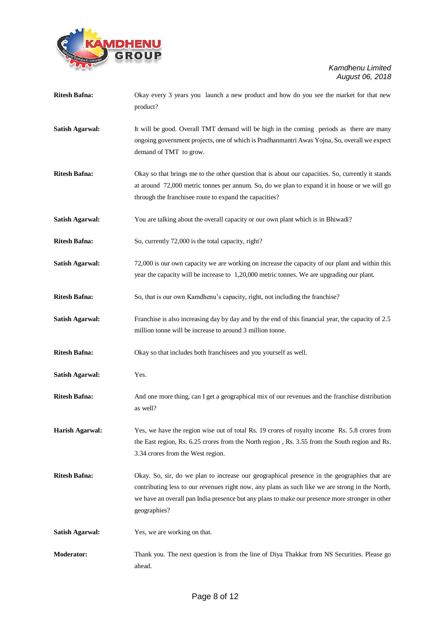

| <b>Ritesh Bafna:</b>   | Okay every 3 years you launch a new product and how do you see the market for that new<br>product?                                                                                                                                                                                                                |
|------------------------|-------------------------------------------------------------------------------------------------------------------------------------------------------------------------------------------------------------------------------------------------------------------------------------------------------------------|
| <b>Satish Agarwal:</b> | It will be good. Overall TMT demand will be high in the coming periods as there are many<br>ongoing government projects, one of which is Pradhanmantri Awas Yojna, So, overall we expect<br>demand of TMT to grow.                                                                                                |
| <b>Ritesh Bafna:</b>   | Okay so that brings me to the other question that is about our capacities. So, currently it stands<br>at around 72,000 metric tonnes per annum. So, do we plan to expand it in house or we will go<br>through the franchisee route to expand the capacities?                                                      |
| <b>Satish Agarwal:</b> | You are talking about the overall capacity or our own plant which is in Bhiwadi?                                                                                                                                                                                                                                  |
| <b>Ritesh Bafna:</b>   | So, currently 72,000 is the total capacity, right?                                                                                                                                                                                                                                                                |
| <b>Satish Agarwal:</b> | 72,000 is our own capacity we are working on increase the capacity of our plant and within this<br>year the capacity will be increase to 1,20,000 metric tonnes. We are upgrading our plant.                                                                                                                      |
| <b>Ritesh Bafna:</b>   | So, that is our own Kamdhenu's capacity, right, not including the franchise?                                                                                                                                                                                                                                      |
| <b>Satish Agarwal:</b> | Franchise is also increasing day by day and by the end of this financial year, the capacity of 2.5<br>million tonne will be increase to around 3 million tonne.                                                                                                                                                   |
| <b>Ritesh Bafna:</b>   | Okay so that includes both franchisees and you yourself as well.                                                                                                                                                                                                                                                  |
| <b>Satish Agarwal:</b> | Yes.                                                                                                                                                                                                                                                                                                              |
| <b>Ritesh Bafna:</b>   | And one more thing, can I get a geographical mix of our revenues and the franchise distribution<br>as well?                                                                                                                                                                                                       |
| <b>Harish Agarwal:</b> | Yes, we have the region wise out of total Rs. 19 crores of royalty income Rs. 5.8 crores from<br>the East region, Rs. 6.25 crores from the North region, Rs. 3.55 from the South region and Rs.<br>3.34 crores from the West region.                                                                              |
| <b>Ritesh Bafna:</b>   | Okay. So, sir, do we plan to increase our geographical presence in the geographies that are<br>contributing less to our revenues right now, any plans as such like we are strong in the North,<br>we have an overall pan India presence but any plans to make our presence more stronger in other<br>geographies? |
| <b>Satish Agarwal:</b> | Yes, we are working on that.                                                                                                                                                                                                                                                                                      |
| Moderator:             | Thank you. The next question is from the line of Diya Thakkar from NS Securities. Please go<br>ahead.                                                                                                                                                                                                             |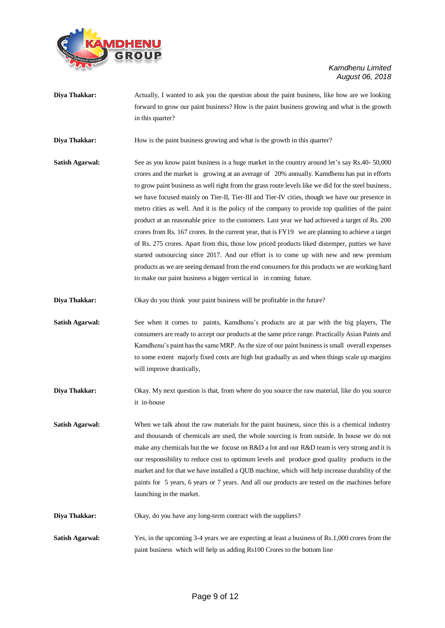

**Diya Thakkar:** Actually, I wanted to ask you the question about the paint business, like how are we looking forward to grow our paint business? How is the paint business growing and what is the growth in this quarter?

**Diya Thakkar:** How is the paint business growing and what is the growth in this quarter?

- **Satish Agarwal:** See as you know paint business is a huge market in the country around let's say Rs.40- 50,000 crores and the market is growing at an average of 20% annually. Kamdhenu has put in efforts to grow paint business as well right from the grass route levels like we did for the steel business, we have focused mainly on Tier-II, Tier-III and Tier-IV cities, though we have our presence in metro cities as well. And it is the policy of the company to provide top qualities of the paint product at an reasonable price to the customers. Last year we had achieved a target of Rs. 200 crores from Rs. 167 crores. In the current year, that is FY19 we are planning to achieve a target of Rs. 275 crores. Apart from this, those low priced products liked distemper, putties we have started outsourcing since 2017. And our effort is to come up with new and new premium products as we are seeing demand from the end consumers for this products we are working hard to make our paint business a bigger vertical in in coming future.
- **Diya Thakkar:** Okay do you think your paint business will be profitable in the future?
- **Satish Agarwal:** See when it comes to paints, Kamdhenu's products are at par with the big players, The consumers are ready to accept our products at the same price range. Practically Asian Paints and Kamdhenu's paint has the same MRP. As the size of our paint business is small overall expenses to some extent majorly fixed costs are high but gradually as and when things scale up margins will improve drastically,
- **Diya Thakkar:** Okay. My next question is that, from where do you source the raw material, like do you source it in-house
- **Satish Agarwal:** When we talk about the raw materials for the paint business, since this is a chemical industry and thousands of chemicals are used, the whole sourcing is from outside. In house we do not make any chemicals but the we focuse on R&D a lot and our R&D team is very strong and it is our responsibility to reduce cost to optimum levels and produce good quality products in the market and for that we have installed a QUB machine, which will help increase durability of the paints for 5 years, 6 years or 7 years. And all our products are tested on the machines before launching in the market.
- **Diya Thakkar:** Okay, do you have any long-term contract with the suppliers?
- **Satish Agarwal:** Yes, in the upcoming 3-4 years we are expecting at least a business of Rs.1,000 crores from the paint business which will help us adding Rs100 Crores to the bottom line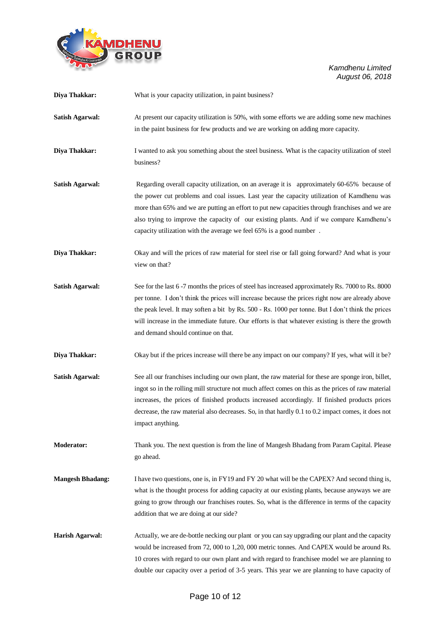

| Diya Thakkar:           | What is your capacity utilization, in paint business?                                                                                                                                                                                                                                                                                                                                                                                                          |
|-------------------------|----------------------------------------------------------------------------------------------------------------------------------------------------------------------------------------------------------------------------------------------------------------------------------------------------------------------------------------------------------------------------------------------------------------------------------------------------------------|
| <b>Satish Agarwal:</b>  | At present our capacity utilization is 50%, with some efforts we are adding some new machines<br>in the paint business for few products and we are working on adding more capacity.                                                                                                                                                                                                                                                                            |
| Diya Thakkar:           | I wanted to ask you something about the steel business. What is the capacity utilization of steel<br>business?                                                                                                                                                                                                                                                                                                                                                 |
| <b>Satish Agarwal:</b>  | Regarding overall capacity utilization, on an average it is approximately 60-65% because of<br>the power cut problems and coal issues. Last year the capacity utilization of Kamdhenu was<br>more than 65% and we are putting an effort to put new capacities through franchises and we are<br>also trying to improve the capacity of our existing plants. And if we compare Kamdhenu's<br>capacity utilization with the average we feel 65% is a good number. |
| Diya Thakkar:           | Okay and will the prices of raw material for steel rise or fall going forward? And what is your<br>view on that?                                                                                                                                                                                                                                                                                                                                               |
| <b>Satish Agarwal:</b>  | See for the last 6 -7 months the prices of steel has increased approximately Rs. 7000 to Rs. 8000<br>per tonne. I don't think the prices will increase because the prices right now are already above<br>the peak level. It may soften a bit by Rs. 500 - Rs. 1000 per tonne. But I don't think the prices<br>will increase in the immediate future. Our efforts is that whatever existing is there the growth<br>and demand should continue on that.          |
| Diya Thakkar:           | Okay but if the prices increase will there be any impact on our company? If yes, what will it be?                                                                                                                                                                                                                                                                                                                                                              |
| <b>Satish Agarwal:</b>  | See all our franchises including our own plant, the raw material for these are sponge iron, billet,<br>ingot so in the rolling mill structure not much affect comes on this as the prices of raw material<br>increases, the prices of finished products increased accordingly. If finished products prices<br>decrease, the raw material also decreases. So, in that hardly 0.1 to 0.2 impact comes, it does not<br>impact anything.                           |
| <b>Moderator:</b>       | Thank you. The next question is from the line of Mangesh Bhadang from Param Capital. Please<br>go ahead.                                                                                                                                                                                                                                                                                                                                                       |
| <b>Mangesh Bhadang:</b> | I have two questions, one is, in FY19 and FY 20 what will be the CAPEX? And second thing is,<br>what is the thought process for adding capacity at our existing plants, because anyways we are<br>going to grow through our franchises routes. So, what is the difference in terms of the capacity<br>addition that we are doing at our side?                                                                                                                  |
| Harish Agarwal:         | Actually, we are de-bottle necking our plant or you can say upgrading our plant and the capacity<br>would be increased from 72, 000 to 1,20, 000 metric tonnes. And CAPEX would be around Rs.<br>10 crores with regard to our own plant and with regard to franchisee model we are planning to<br>double our capacity over a period of 3-5 years. This year we are planning to have capacity of                                                                |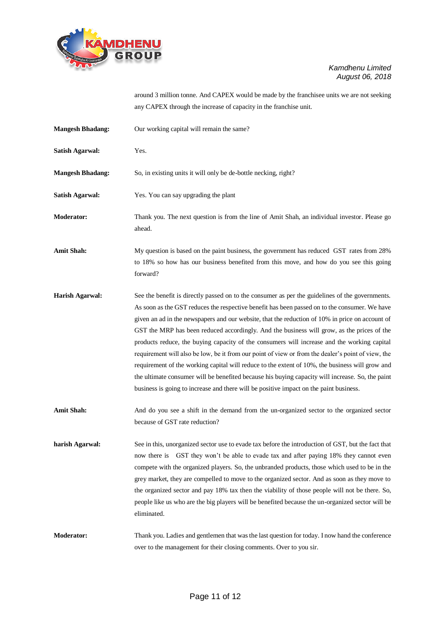

around 3 million tonne. And CAPEX would be made by the franchisee units we are not seeking any CAPEX through the increase of capacity in the franchise unit.

| <b>Mangesh Bhadang:</b> | Our working capital will remain the same?                                                                                                                                                                                                                                                                                                                                                                                                                                                                                                                                                                                                                                                                                                                                                                                                                                                               |
|-------------------------|---------------------------------------------------------------------------------------------------------------------------------------------------------------------------------------------------------------------------------------------------------------------------------------------------------------------------------------------------------------------------------------------------------------------------------------------------------------------------------------------------------------------------------------------------------------------------------------------------------------------------------------------------------------------------------------------------------------------------------------------------------------------------------------------------------------------------------------------------------------------------------------------------------|
| <b>Satish Agarwal:</b>  | Yes.                                                                                                                                                                                                                                                                                                                                                                                                                                                                                                                                                                                                                                                                                                                                                                                                                                                                                                    |
| <b>Mangesh Bhadang:</b> | So, in existing units it will only be de-bottle necking, right?                                                                                                                                                                                                                                                                                                                                                                                                                                                                                                                                                                                                                                                                                                                                                                                                                                         |
| <b>Satish Agarwal:</b>  | Yes. You can say upgrading the plant                                                                                                                                                                                                                                                                                                                                                                                                                                                                                                                                                                                                                                                                                                                                                                                                                                                                    |
| <b>Moderator:</b>       | Thank you. The next question is from the line of Amit Shah, an individual investor. Please go<br>ahead.                                                                                                                                                                                                                                                                                                                                                                                                                                                                                                                                                                                                                                                                                                                                                                                                 |
| <b>Amit Shah:</b>       | My question is based on the paint business, the government has reduced GST rates from 28%<br>to 18% so how has our business benefited from this move, and how do you see this going<br>forward?                                                                                                                                                                                                                                                                                                                                                                                                                                                                                                                                                                                                                                                                                                         |
| <b>Harish Agarwal:</b>  | See the benefit is directly passed on to the consumer as per the guidelines of the governments.<br>As soon as the GST reduces the respective benefit has been passed on to the consumer. We have<br>given an ad in the newspapers and our website, that the reduction of 10% in price on account of<br>GST the MRP has been reduced accordingly. And the business will grow, as the prices of the<br>products reduce, the buying capacity of the consumers will increase and the working capital<br>requirement will also be low, be it from our point of view or from the dealer's point of view, the<br>requirement of the working capital will reduce to the extent of 10%, the business will grow and<br>the ultimate consumer will be benefited because his buying capacity will increase. So, the paint<br>business is going to increase and there will be positive impact on the paint business. |
| <b>Amit Shah:</b>       | And do you see a shift in the demand from the un-organized sector to the organized sector<br>because of GST rate reduction?                                                                                                                                                                                                                                                                                                                                                                                                                                                                                                                                                                                                                                                                                                                                                                             |
| harish Agarwal:         | See in this, unorganized sector use to evade tax before the introduction of GST, but the fact that<br>now there is GST they won't be able to evade tax and after paying 18% they cannot even<br>compete with the organized players. So, the unbranded products, those which used to be in the<br>grey market, they are compelled to move to the organized sector. And as soon as they move to<br>the organized sector and pay 18% tax then the viability of those people will not be there. So,<br>people like us who are the big players will be benefited because the un-organized sector will be<br>eliminated.                                                                                                                                                                                                                                                                                      |
| <b>Moderator:</b>       | Thank you. Ladies and gentlemen that was the last question for today. I now hand the conference<br>over to the management for their closing comments. Over to you sir.                                                                                                                                                                                                                                                                                                                                                                                                                                                                                                                                                                                                                                                                                                                                  |